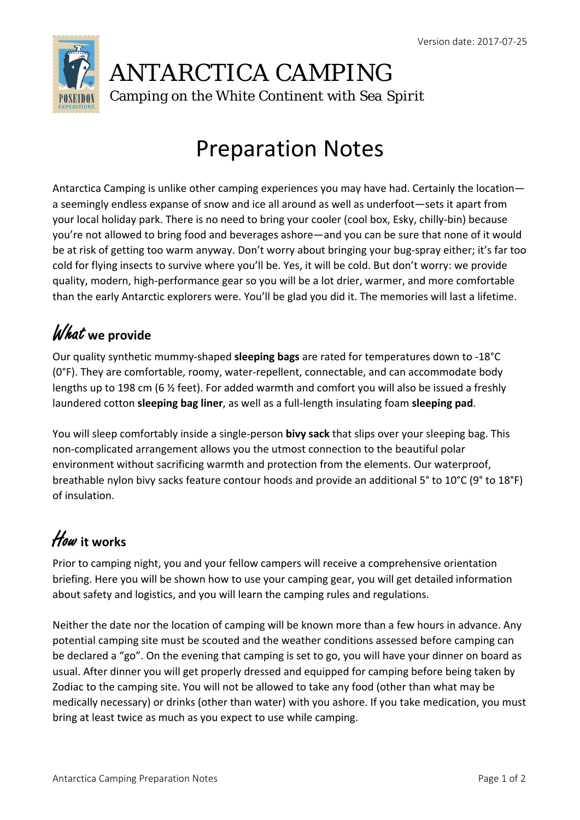

### ANTARCTICA CAMPING Camping on the White Continent with *Sea Spirit*

# Preparation Notes

Antarctica Camping is unlike other camping experiences you may have had. Certainly the location a seemingly endless expanse of snow and ice all around as well as underfoot—sets it apart from your local holiday park. There is no need to bring your cooler (cool box, Esky, chilly‐bin) because you're not allowed to bring food and beverages ashore—and you can be sure that none of it would be at risk of getting too warm anyway. Don't worry about bringing your bug-spray either; it's far too cold for flying insects to survive where you'll be. Yes, it will be cold. But don't worry: we provide quality, modern, high‐performance gear so you will be a lot drier, warmer, and more comfortable than the early Antarctic explorers were. You'll be glad you did it. The memories will last a lifetime.

## What **we provide**

Our quality synthetic mummy‐shaped **sleeping bags** are rated for temperatures down to ‐18°C (0°F). They are comfortable, roomy, water‐repellent, connectable, and can accommodate body lengths up to 198 cm (6 ½ feet). For added warmth and comfort you will also be issued a freshly laundered cotton **sleeping bag liner**, as well as a full‐length insulating foam **sleeping pad**.

You will sleep comfortably inside a single‐person **bivy sack** that slips over your sleeping bag. This non‐complicated arrangement allows you the utmost connection to the beautiful polar environment without sacrificing warmth and protection from the elements. Our waterproof, breathable nylon bivy sacks feature contour hoods and provide an additional 5° to 10°C (9° to 18°F) of insulation.

# How**it works**

Prior to camping night, you and your fellow campers will receive a comprehensive orientation briefing. Here you will be shown how to use your camping gear, you will get detailed information about safety and logistics, and you will learn the camping rules and regulations.

Neither the date nor the location of camping will be known more than a few hours in advance. Any potential camping site must be scouted and the weather conditions assessed before camping can be declared a "go". On the evening that camping is set to go, you will have your dinner on board as usual. After dinner you will get properly dressed and equipped for camping before being taken by Zodiac to the camping site. You will not be allowed to take any food (other than what may be medically necessary) or drinks (other than water) with you ashore. If you take medication, you must bring at least twice as much as you expect to use while camping.